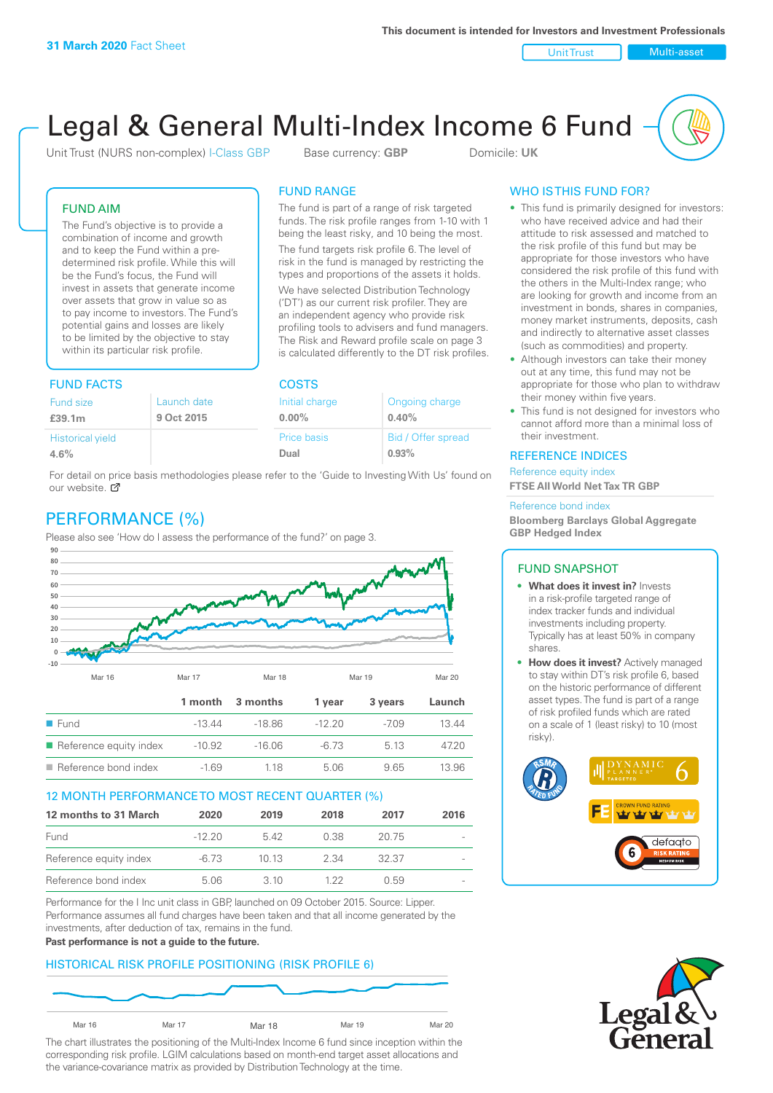Unit Trust Nulti-asset

# Legal & General Multi-Index Income 6 Fund

Unit Trust (NURS non-complex) I-Class GBP Base currency: **GBP** Domicile: UK

The fund is part of a range of risk targeted funds. The risk profile ranges from 1-10 with 1 being the least risky, and 10 being the most. The fund targets risk profile 6. The level of risk in the fund is managed by restricting the types and proportions of the assets it holds. We have selected Distribution Technology ('DT') as our current risk profiler. They are an independent agency who provide risk profiling tools to advisers and fund managers. The Risk and Reward profile scale on page 3 is calculated differently to the DT risk profiles.

FUND RANGE

### FUND AIM

The Fund's objective is to provide a combination of income and growth and to keep the Fund within a predetermined risk profile. While this will be the Fund's focus, the Fund will invest in assets that generate income over assets that grow in value so as to pay income to investors. The Fund's potential gains and losses are likely to be limited by the objective to stay within its particular risk profile.

## FUND FACTS COSTS

| .                       |             |                |                    |  |  |
|-------------------------|-------------|----------------|--------------------|--|--|
| Fund size               | Launch date | Initial charge | Ongoing charge     |  |  |
| £39.1m                  | 9 Oct 2015  | $0.00\%$       | 0.40%              |  |  |
| <b>Historical yield</b> |             | Price basis    | Bid / Offer spread |  |  |
| 4.6%                    |             | Dual           | 0.93%              |  |  |

For detail on price basis methodologies please refer to the 'Guide to Investing With Us' found on our website. Ø

# PERFORMANCE (%)

Please also see 'How do I assess the performance of the fund?' on page 3.



#### 12 MONTH PERFORMANCE TO MOST RECENT QUARTER (%)

| 12 months to 31 March  | 2020     | 2019 | 2018 | 2017  | 2016                     |
|------------------------|----------|------|------|-------|--------------------------|
| Fund                   | $-12.20$ | 542  | 0.38 | 20.75 | $\sim$                   |
| Reference equity index | $-6.73$  | 1013 | 2.34 | 32.37 | $\sim$                   |
| Reference bond index   | 5.06     | 3.10 | 1 22 | O 59  | $\overline{\phantom{a}}$ |

Performance for the I Inc unit class in GBP, launched on 09 October 2015. Source: Lipper. Performance assumes all fund charges have been taken and that all income generated by the investments, after deduction of tax, remains in the fund.

#### **Past performance is not a guide to the future.**

## HISTORICAL RISK PROFILE POSITIONING (RISK PROFILE 6)



The chart illustrates the positioning of the Multi-Index Income 6 fund since inception within the corresponding risk profile. LGIM calculations based on month-end target asset allocations and the variance-covariance matrix as provided by Distribution Technology at the time.

## WHO IS THIS FUND FOR?

- This fund is primarily designed for investors: who have received advice and had their attitude to risk assessed and matched to the risk profile of this fund but may be appropriate for those investors who have considered the risk profile of this fund with the others in the Multi-Index range; who are looking for growth and income from an investment in bonds, shares in companies, money market instruments, deposits, cash and indirectly to alternative asset classes (such as commodities) and property.
- Although investors can take their money out at any time, this fund may not be appropriate for those who plan to withdraw their money within five years.
- This fund is not designed for investors who cannot afford more than a minimal loss of their investment.

#### REFERENCE INDICES

Reference equity index **FTSE All World Net Tax TR GBP**

#### Reference bond index

**Bloomberg Barclays Global Aggregate GBP Hedged Index**

#### FUND SNAPSHOT

- **• What does it invest in?** Invests in a risk-profile targeted range of index tracker funds and individual investments including property. Typically has at least 50% in company shares.
- **• How does it invest?** Actively managed to stay within DT's risk profile 6, based on the historic performance of different asset types. The fund is part of a range of risk profiled funds which are rated on a scale of 1 (least risky) to 10 (most risky).



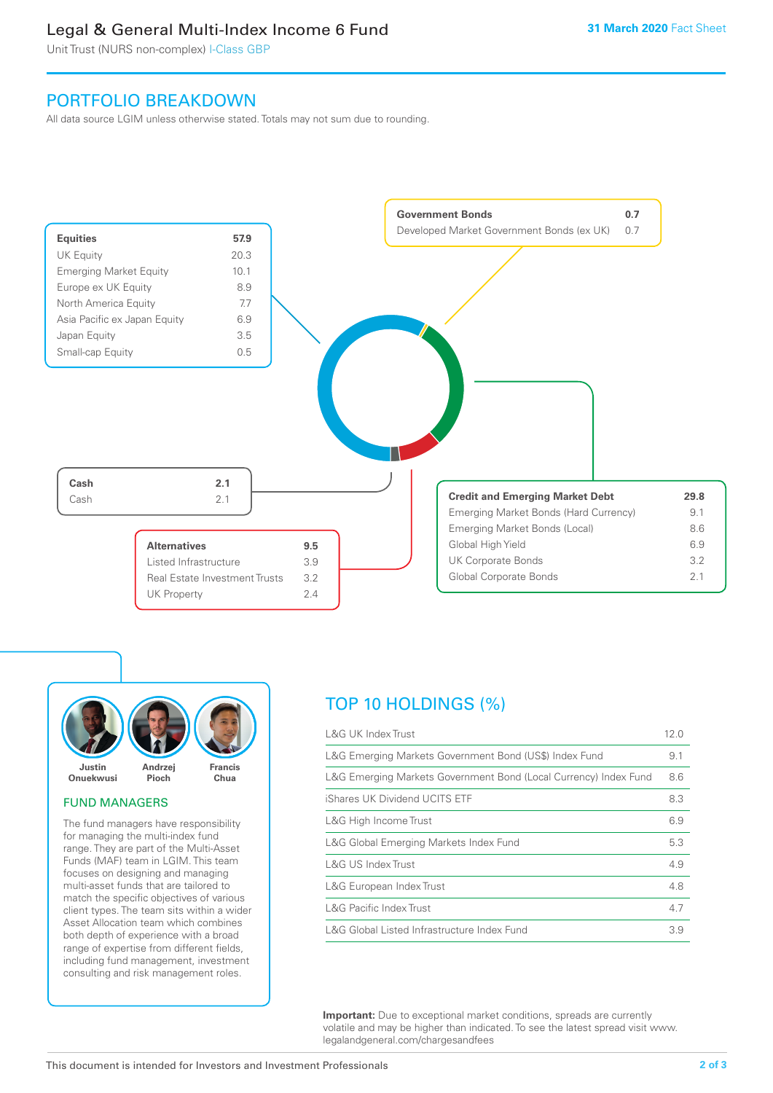# Legal & General Multi-Index Income 6 Fund

Unit Trust (NURS non-complex) I-Class GBP

# PORTFOLIO BREAKDOWN

All data source LGIM unless otherwise stated. Totals may not sum due to rounding.





#### FUND MANAGERS

The fund managers have responsibility for managing the multi-index fund range. They are part of the Multi-Asset Funds (MAF) team in LGIM. This team focuses on designing and managing multi-asset funds that are tailored to match the specific objectives of various client types. The team sits within a wider Asset Allocation team which combines both depth of experience with a broad range of expertise from different fields, including fund management, investment consulting and risk management roles.

# TOP 10 HOLDINGS (%)

| <b>L&amp;G UK Index Trust</b>                                    | 12.0 |
|------------------------------------------------------------------|------|
| L&G Emerging Markets Government Bond (US\$) Index Fund           | 9.1  |
| L&G Emerging Markets Government Bond (Local Currency) Index Fund | 8.6  |
| iShares UK Dividend UCITS ETF                                    | 8.3  |
| L&G High Income Trust                                            | 6.9  |
| L&G Global Emerging Markets Index Fund                           | 5.3  |
| L&G US Index Trust                                               | 4.9  |
| L&G European Index Trust                                         | 4.8  |
| <b>L&amp;G Pacific Index Trust</b>                               | 4.7  |
| L&G Global Listed Infrastructure Index Fund                      | 3.9  |

**Important:** Due to exceptional market conditions, spreads are currently volatile and may be higher than indicated. To see the latest spread visit www. legalandgeneral.com/chargesandfees